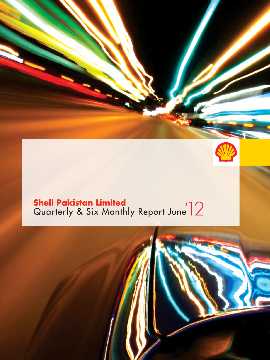# **Shell Pakistan Limited**<br>Quarterly & Six Monthly Report June<sup>1</sup>2

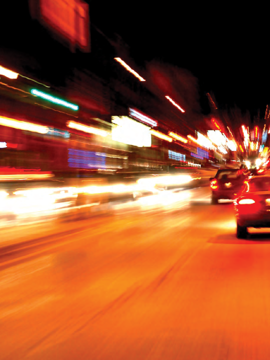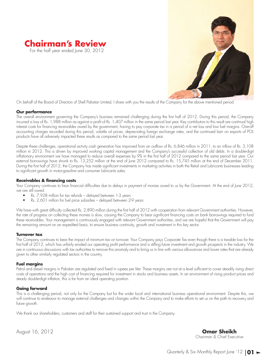



On behalf of the Board of Directors of Shell Pakistan Limited, I share with you the results of the Company for the above mentioned period.

#### **Our performance**

The overall environment governing the Company's business remained challenging during the first half of 2012. During this period, the Company incurred a loss of Rs. 1,988 million as against a profit of Rs. 1,407 million in the same period last year. Key contributors to this result are continual high interest costs for financing receivables owed by the government, having to pay corporate tax in a period of a net loss and low fuel margins. One-off accounting charges recorded during this period, volatile oil prices, depreciating foreign exchange rates, and the continued ban on exports of POL products have all adversely impacted these results as compared to the same period last year.

Despite these challenges, operational activity cash generation has improved from an outflow of Rs. 6,846 million in 2011, to an inflow of Rs. 3,108 million in 2012. This is driven by improved working capital management and the Company's successful collection of old debts. In a double-digit inflationary environment we have managed to reduce overall expenses by 9% in the first half of 2012 compared to the same period last year. Our external borrowings have shrunk to Rs. 13,252 million at the end of June 2012 compared to Rs. 15,745 million at the end of December 2011. During the first half of 2012, the Company has made significant investments in marketing activities in both the Retail and Lubricants businesses leading to significant growth in motor-gasoline and consumer lubricants sales.

#### **Receivables & financing costs**

Your Company continues to face financial difficulties due to delays in payment of monies owed to us by the Government. At the end of June 2012, we are still owed:

- Rs. 7,928 million for tax refunds delayed between 1-3 years
- Rs. 2,601 million for fuel price subsidies delayed between 2-9 years

We have with great difficulty collected Rs. 2,890 million during the first half of 2012 with cooperation from relevant Government authorities. However, the rate of progress on collecting these monies is slow, causing the Company to bear significant financing costs on bank borrowings required to fund these receivables. Your management is continuously engaged with relevant Government authorities, and we are hopeful that the Government will pay the remaining amount on an expedited basis, to ensure business continuity, growth and investment in this key sector.

#### **Turnover tax**

The Company continues to bear the impact of minimum tax on turnover. Your Company pays Corporate Tax even though there is a taxable loss for the first half of 2012, which has unfairly eroded our operating profit performance and is stifling future investment and growth prospects in the industry. We are in continuous discussions with tax authorities to remove this anomaly and to bring us in line with various allowances and lower rates that are already given to other similarly regulated sectors in the country.

#### **Fuel margins**

Petrol and diesel margins in Pakistan are regulated and fixed in rupees per liter. These margins are not at a level sufficient to cover steadily rising direct costs of operations and the high cost of financing required for investment in stocks and business assets. In an environment of rising product prices and steady double-digit inflation, this is far from an ideal operating position.

#### **Going forward**

This is a challenging period, not only for the Company but for the wider local and international business operational environment. Despite this, we will continue to endeavor to manage external challenges and changes within the Company and to make efforts to set us on the path to recovery and future growth.

We thank our shareholders, customers and staff for their sustained support and trust in the Company.

August 16, 2012

**Omar Sheikh** Chairman & Chief Executive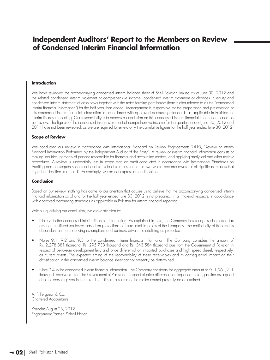### **Independent Auditors' Report to the Members on Review of Condensed Interim Financial Information**

#### **Introduction**

We have reviewed the accompanying condensed interim balance sheet of Shell Pakistan Limited as at June 30, 2012 and the related condensed interim statement of comprehensive income, condensed interim statement of changes in equity and condensed interim statement of cash flows together with the notes forming part thereof (here-in-after referred to as the "condensed interim financial information") for the half year then ended. Management is responsible for the preparation and presentation of this condensed interim financial information in accordance with approved accounting standards as applicable in Pakistan for interim financial reporting. Our responsibility is to express a conclusion on this condensed interim financial information based on our review. The figures of the condensed interim statement of comprehensive income for the quarters ended June 30, 2012 and 2011 have not been reviewed, as we are required to review only the cumulative figures for the half year ended June 30, 2012.

#### **Scope of Review**

We conducted our review in accordance with International Standard on Review Engagements 2410, "Review of Interim Financial Information Performed by the Independent Auditor of the Entity". A review of interim financial information consists of making inquiries, primarily of persons responsible for financial and accounting matters, and applying analytical and other review procedures. A review is substantially less in scope than an audit conducted in accordance with International Standards on Auditing and consequently does not enable us to obtain assurance that we would become aware of all significant matters that might be identified in an audit. Accordingly, we do not express an audit opinion.

#### **Conclusion**

Based on our review, nothing has come to our attention that causes us to believe that the accompanying condensed interim financial information as of and for the half year ended June 30, 2012 is not prepared, in all material respects, in accordance with approved accounting standards as applicable in Pakistan for interim financial reporting.

Without qualifying our conclusion, we draw attention to:

- Note 7 to the condensed interim financial information. As explained in note, the Company has recognised deferred tax asset on unutilised tax losses based on projections of future taxable profits of the Company. The realisability of this asset is dependent on the underlying assumptions and business drivers materialising as projected.
- Notes 9.1, 9.2 and 9.3 to the condensed interim financial information. The Company considers the amount of Rs. 2,278,381 thousand, Rs. 295,733 thousand and Rs. 343,584 thousand due from the Government of Pakistan in respect of petroleum development levy and price differential on imported purchases and high speed diesel, respectively, as current assets. The expected timing of the recoverability of these receivables and its consequential impact on their classification in the condensed interim balance sheet cannot presently be determined.
- Note 9.4 to the condensed interim financial information. The Company considers the aggregate amount of Rs. 1,961,211 thousand, receivable from the Government of Pakistan in respect of price differential on imported motor gasoline as a good debt for reasons given in the note. The ultimate outcome of the matter cannot presently be determined.

A. F. Ferguson & Co. Chartered Accountants

Karachi: August 28, 2012 Engagement Partner: Sohail Hasan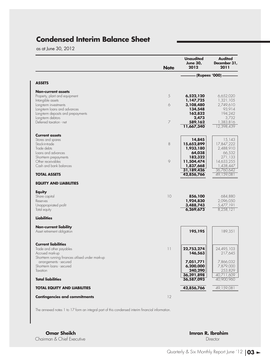# **Condensed Interim Balance Sheet**

as at June 30, 2012

|                                                                             | <b>Note</b>    | <b>Unaudited</b><br><b>June 30,</b><br>2012 | <b>Audited</b><br>December 31,<br>2011 |
|-----------------------------------------------------------------------------|----------------|---------------------------------------------|----------------------------------------|
|                                                                             |                |                                             | (Rupees '000)-                         |
| <b>ASSETS</b>                                                               |                |                                             |                                        |
| <b>Non-current assets</b>                                                   |                |                                             |                                        |
| Property, plant and equipment<br>Intangible assets                          | 5              | 6,522,120<br>1,147,725                      | 6,652,020<br>1,321,105                 |
| Long-term investments                                                       | 6              | 3,108,480                                   | 2,749,610                              |
| Long-term loans and advances<br>Long-term deposits and prepayments          |                | 134,548<br>162,832                          | 93,914<br>194,242                      |
| Long-term debtors                                                           |                | 2,473                                       | 3,732                                  |
| Deferred taxation - net                                                     | $\overline{ }$ | 589,162                                     | 1,383,816                              |
|                                                                             |                | 11,667,340                                  | 12,398,439                             |
| <b>Current assets</b><br>Stores and spares                                  |                | 14,845                                      | 15,143                                 |
| Stock-in-trade                                                              | 8              | 15,652,899                                  | 17,847,222                             |
| Trade debts                                                                 |                | 1,933,180                                   | 2,488,910                              |
| Loans and advances<br>Short-term prepayments                                |                | 64,038<br>182,322                           | 66,532<br>271,133                      |
| Other receivables                                                           | 9              | 11,504,474                                  | 14,633,255                             |
| Cash and bank balances                                                      |                | 1,837,668                                   | 1,438,447                              |
| <b>TOTAL ASSETS</b>                                                         |                | 31,189,426<br>42,856,766                    | 36,760,642<br>49,159,081               |
| <b>EQUITY AND LIABILITIES</b>                                               |                |                                             |                                        |
| <b>Equity</b>                                                               |                |                                             |                                        |
| Share capital                                                               | 10             | 856,100                                     | 684,880                                |
| Reserves<br>Unappropriated profit                                           |                | 1,924,830<br>3,488,743                      | 2,096,050<br>5,477,191                 |
| Total equity                                                                |                | 6,269,673                                   | 8,258,121                              |
| <b>Liabilities</b>                                                          |                |                                             |                                        |
| <b>Non-current liability</b>                                                |                |                                             |                                        |
| Asset retirement obligation                                                 |                | 195,195                                     | 189,351                                |
| <b>Current liabilities</b>                                                  |                |                                             |                                        |
| Trade and other payables                                                    | $  \  $        | 22,753,274                                  | 24,495,103                             |
| Accrued mark-up                                                             |                | 146,563                                     | 217,645                                |
| Shortterm running finances utilised under mark-up<br>arrangements - secured |                | 7,051,771                                   | 7,866,032                              |
| Short-term loans - secured                                                  |                | 6,200,000                                   | 7,879,000                              |
| Taxation                                                                    |                | 240,290                                     | 253,829                                |
| <b>Total liabilities</b>                                                    |                | 36,391,898<br>36,587,093                    | 40,711,609<br>40,900,960               |
| <b>TOTAL EQUITY AND LIABILITIES</b>                                         |                | 42,856,766                                  | 49,159,081                             |
| <b>Contingencies and commitments</b>                                        | 12             |                                             |                                        |

The annexed notes 1 to 17 form an integral part of this condensed interim financial information.

**Omar Sheikh** Chairman & Chief Executive **Imran R. Ibrahim Director**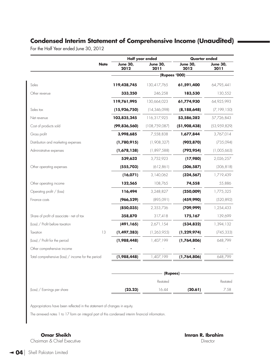### **Condensed Interim Statement of Comprehensive Income (Unaudited)**

For the Half Year ended June 30, 2012

|                                                    |                         | Half year ended         | <b>Quarter ended</b>    |                         |
|----------------------------------------------------|-------------------------|-------------------------|-------------------------|-------------------------|
| <b>Note</b>                                        | <b>June 30,</b><br>2012 | <b>June 30,</b><br>2011 | <b>June 30,</b><br>2012 | <b>June 30,</b><br>2011 |
|                                                    |                         |                         | (Rupees '000)           |                         |
| Sales                                              | 119,428,745             | 130,417,765             | 61,591,400              | 64,795,441              |
| Other revenue                                      | 333,250                 | 246,258                 | 183,530                 | 130,552                 |
|                                                    | 119,761,995             | 130,664,023             | 61,774,930              | 64,925,993              |
| Sales tax                                          | (15,926,750)            | (14, 346, 098)          | (8, 188, 648)           | [7, 199, 150]           |
| Net revenue                                        | 103,835,245             | 116,317,925             | 53,586,282              | 57,726,843              |
| Cost of products sold                              | (99, 836, 560)          | (108, 759, 087)         | (51,908,438)            | (53,959,829)            |
| Gross profit                                       | 3,998,685               | 7,558,838               | 1,677,844               | 3,767,014               |
| Distribution and marketing expenses                | (1,780,915)             | (1,908,327)             | (902, 870)              | (735,094)               |
| Administrative expenses                            | (1,678,138)             | (1,897,588)             | (792, 954)              | (1,005,663)             |
|                                                    | 539,632                 | 3,752,923               | (17,980)                | 2,026,257               |
| Other operating expenses                           | (555,703)               | (612, 861)              | (306, 587)              | (306, 818)              |
|                                                    | (16, 071)               | 3,140,062               | (324, 567)              | 1,719,439               |
| Other operating income                             | 132,565                 | 108,765                 | 74,558                  | 55,886                  |
| Operating profit / (loss)                          | 116,494                 | 3,248,827               | (250,009)               | 1,775,325               |
| Finance costs                                      | (966, 529)              | (895,091)               | (459,990)               | (520, 892)              |
|                                                    | (850, 035)              | 2,353,736               | (709, 999)              | 1,254,433               |
| Share of profit of associate - net of tax          | 358,870                 | 317,418                 | 175,167                 | 139,699                 |
| (Loss) / Profit before taxation                    | (491, 165)              | 2,671,154               | (534, 832)              | 1,394,132               |
| Taxation                                           | 13<br>(1,497,283)       | (1, 263, 955)           | (1, 229, 974)           | [745, 333]              |
| (Loss) / Profit for the period                     | (1,988,448)             | 1,407,199               | (1,764,806)             | 648,799                 |
| Other comprehensive income                         |                         |                         |                         |                         |
| Total comprehensive (loss) / income for the period | (1,988,448)             | 1,407,199               | (1,764,806)             | 648,799                 |
|                                                    |                         | - (Rupees) -            |                         |                         |
|                                                    |                         | Restated                |                         | Restated                |
| (Loss) / Earnings per share                        | (23.23)                 | 16.44                   | (20.61)                 | 7.58                    |
|                                                    |                         |                         |                         |                         |

Appropriations have been reflected in the statement of changes in equity.

The annexed notes 1 to 17 form an integral part of this condensed interim financial information.

**Omar Sheikh**

Chairman & Chief Executive

**Imran R. Ibrahim Director** 

**04** Shell Pakistan Limited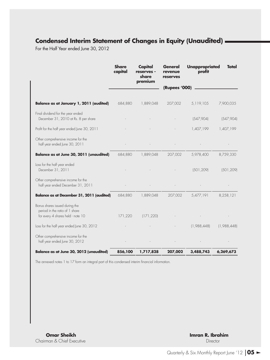### **Condensed Interim Statement of Changes in Equity (Unaudited)**

For the Half Year ended June 30, 2012

|                                                                                                       | <b>Share</b><br>capital | Capital<br>reserves -<br>share<br>premium | General<br>revenue<br>reserves | <b>Unappropriated</b><br>profit | <b>Total</b> |
|-------------------------------------------------------------------------------------------------------|-------------------------|-------------------------------------------|--------------------------------|---------------------------------|--------------|
|                                                                                                       |                         |                                           | <b>(Rupees '000)</b>           |                                 |              |
| <b>Balance as at January 1, 2011 (audited)</b>                                                        | 684,880                 | 1,889,048                                 | 207,002                        | 5, 119, 105                     | 7,900,035    |
| Final dividend for the year ended<br>December 31, 2010 at Rs. 8 per share                             |                         |                                           |                                | (547,904)                       | (547,904)    |
| Profit for the half year ended June 30, 2011                                                          |                         |                                           |                                | 1,407,199                       | 1,407,199    |
| Other comprehensive income for the<br>half year ended June 30, 2011                                   |                         |                                           |                                |                                 |              |
| <b>Balance as at June 30, 2011 (unaudited)</b>                                                        | 684,880                 | 1,889,048                                 | 207,002                        | 5,978,400                       | 8,759,330    |
| Loss for the half year ended<br>December 31, 2011                                                     |                         |                                           |                                | (501, 209)                      | (501, 209)   |
| Other comprehensive income for the<br>half year ended December 31, 2011                               |                         |                                           |                                |                                 |              |
| Balance as at December 31, 2011 (audited)                                                             | 684,880                 | 1,889,048                                 | 207,002                        | 5,477,191                       | 8,258,121    |
| Bonus shares issued during the<br>period in the ratio of 1 share<br>for every 4 shares held - note 10 | 171,220                 | (171, 220)                                |                                |                                 |              |
| Loss for the half year ended June 30, 2012                                                            |                         |                                           |                                | (1,988,448)                     | (1,988,448)  |
| Other comprehensive income for the<br>half year ended June 30, 2012                                   |                         |                                           |                                |                                 |              |
| Balance as at June 30, 2012 (unaudited)                                                               | 856,100                 | 1,717,828                                 | 207,002                        | 3,488,743                       | 6,269,673    |

The annexed notes 1 to 17 form an integral part of this condensed interim financial information.

٦

Quarterly & Six Monthly Report June '12 **05**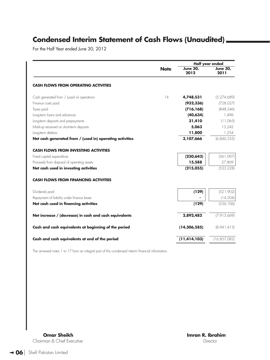# **Condensed Interim Statement of Cash Flows (Unaudited)**

For the Half Year ended June 30, 2012

|                                                                                                  |             | <b>Half year ended</b>  |                         |
|--------------------------------------------------------------------------------------------------|-------------|-------------------------|-------------------------|
|                                                                                                  | <b>Note</b> | <b>June 30,</b><br>2012 | <b>June 30,</b><br>2011 |
| <b>CASH FLOWS FROM OPERATING ACTIVITIES</b>                                                      |             |                         |                         |
| Cash generated from / (used in) operations                                                       | 14          | 4,748,531               | (5, 274, 689)           |
| Finance costs paid                                                                               |             | (932, 336)              | (728, 027)              |
| Taxes paid                                                                                       |             | (716, 168)              | (848, 546)              |
| Long-term loans and advances                                                                     |             | (40, 634)               | 1,496                   |
| Long-term deposits and prepayments                                                               |             | 31,410                  | (11,065)                |
| Mark-up received on short-term deposits                                                          |             | 5,063                   | 13,242                  |
| Long-term debtors                                                                                |             | 11,800                  | 1,254                   |
| Net cash generated from / (used in) operating activities                                         |             | 3,107,666               | (6, 846, 335)           |
| <b>CASH FLOWS FROM INVESTING ACTIVITIES</b>                                                      |             |                         |                         |
| Fixed capital expenditure                                                                        |             | (230, 643)              | (561,097)               |
| Proceeds from disposal of operating assets                                                       |             | 15,588                  | 27,869                  |
| Net cash used in investing activities                                                            |             | (215, 055)              | $\overline{[533,228]}$  |
| <b>CASH FLOWS FROM FINANCING ACTIVITIES</b>                                                      |             |                         |                         |
| Dividends paid                                                                                   |             | (129)                   | (521,902)               |
| Repayment of liability under finance lease                                                       |             |                         | (14, 204)               |
| Net cash used in financing activities                                                            |             | (129)                   | (536, 106)              |
| Net increase / (decrease) in cash and cash equivalents                                           |             | 2,892,482               | (7,915,669)             |
| Cash and cash equivalents at beginning of the period                                             |             | (14, 306, 585)          | (8,941,413)             |
| Cash and cash equivalents at end of the period                                                   |             | (11, 414, 103)          | (16, 857, 082)          |
| The annexed notes 1 to 17 form an integral part of this condensed interim financial information. |             |                         |                         |

**Omar Sheikh** Chairman & Chief Executive

**06** Shell Pakistan Limited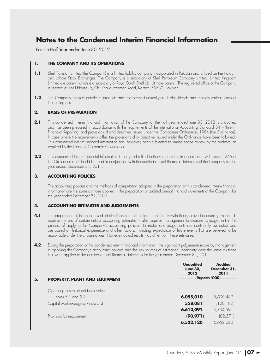For the Half Year ended June 30, 2012

### **1. THE COMPANY AND ITS OPERATIONS**

- **1.1** Shell Pakistan Limited (the Company) is a limited liability company incorporated in Pakistan and is listed on the Karachi and Lahore Stock Exchanges. The Company is a subsidiary of Shell Petroleum Company Limited, United Kingdom (immediate parent) which is a subsidiary of Royal Dutch Shell plc (ultimate parent). The registered office of the Company is located at Shell House, 6, Ch. Khaliquzzaman Road, Karachi-75530, Pakistan.
- **1.2** The Company markets petroleum products and compressed natural gas. It also blends and markets various kinds of lubricating oils.

### **2. BASIS OF PREPARATION**

- 2.1 This condensed interim financial information of the Company for the half year ended June 30, 2012 is unaudited and has been prepared in accordance with the requirements of the International Accounting Standard 34 – 'Interim Financial Reporting' and provisions of and directives issued under the Companies Ordinance, 1984 (the Ordinance). In case where the requirements differ, the provisions of or directives issued under the Ordinance have been followed. This condensed interim financial information has, however, been subjected to limited scope review by the auditors, as required by the Code of Corporate Governance.
- **2.2** This condensed interim financial information is being submitted to the shareholders in accordance with section 245 of the Ordinance and should be read in conjunction with the audited annual financial statements of the Company for the year ended December 31, 2011.

### **3. ACCOUNTING POLICIES**

The accounting policies and the methods of computation adopted in the preparation of this condensed interim financial information are the same as those applied in the preparation of audited annual financial statements of the Company for the year ended December 31, 2011.

#### **4. ACCOUNTING ESTIMATES AND JUDGEMENTS**

- **4.1** The preparation of this condensed interim financial information in conformity with the approved accounting standards requires the use of certain critical accounting estimates. It also requires management to exercise its judgement in the process of applying the Company's accounting policies. Estimates and judgements are continually evaluated and are based on historical experience and other factors, including expectation of future events that are believed to be reasonable under the circumstances. However, actual results may differ from these estimates.
- **4.2** During the preparation of this condensed interim financial information, the significant judgements made by management in applying the Company's accounting policies and the key sources of estimation uncertainty were the same as those that were applied to the audited annual financial statements for the year ended December 31, 2011.

|    |                                      | <b>Unaudited</b><br><b>June 30,</b><br>2012 | <b>Audited</b><br>December 31,<br>2011 |  |
|----|--------------------------------------|---------------------------------------------|----------------------------------------|--|
| 5. | <b>PROPERTY, PLANT AND EQUIPMENT</b> | (Rupees '000)                               |                                        |  |
|    | Operating assets, at net book value  |                                             |                                        |  |
|    | $-$ notes 5.1 and 5.2                | 6,055,010                                   | 5,606,489                              |  |
|    | Capital work-in-progress - note 5.3  | 558,081                                     | 1,128,102                              |  |
|    |                                      | 6,613,091                                   | 6,734,591                              |  |
|    | Provision for impairment             | (90, 971)                                   | (82, 571)                              |  |
|    |                                      | 6,522,120                                   | 6,652,020                              |  |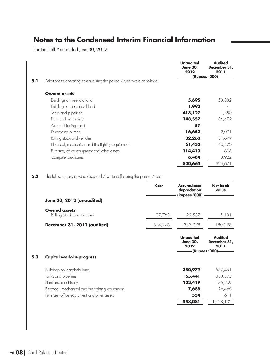For the Half Year ended June 30, 2012

|     |                                                                         | <b>Unaudited</b><br><b>June 30,</b><br>2012 | <b>Audited</b><br>December 31,<br>2011<br>(Rupees '000) |
|-----|-------------------------------------------------------------------------|---------------------------------------------|---------------------------------------------------------|
| 5.1 | Additions to operating assets during the period / year were as follows: |                                             |                                                         |
|     | <b>Owned assets</b>                                                     |                                             |                                                         |
|     | Buildings on freehold land                                              | 5,695                                       | 53,882                                                  |
|     | Buildings on leasehold land                                             | 1,992                                       |                                                         |
|     | Tanks and pipelines                                                     | 413,127                                     | 1,580                                                   |
|     | Plant and machinery                                                     | 148,557                                     | 86,479                                                  |
|     | Air conditioning plant                                                  | 57                                          |                                                         |
|     | Dispensing pumps                                                        | 16,652                                      | 2,091                                                   |
|     | Rolling stock and vehicles                                              | 32,260                                      | 31,679                                                  |
|     | Electrical, mechanical and fire fighting equipment                      | 61,430                                      | 146,420                                                 |
|     | Furniture, office equipment and other assets                            | 114,410                                     | 618                                                     |
|     | Computer auxiliaries                                                    | 6,484                                       | 3,922                                                   |
|     |                                                                         | 800,664                                     | 326,671                                                 |

### **5.2** The following assets were disposed / written off during the period / year:

| June 30, 2012 (unaudited)                         | Cost    | <b>Accumulated</b><br>depreciation<br>(Rupees '000) | Net book<br>value |
|---------------------------------------------------|---------|-----------------------------------------------------|-------------------|
| <b>Owned assets</b><br>Rolling stock and vehicles | 27.768  | 22.587                                              | 5,181             |
| December 31, 2011 (audited)                       | 514.276 | 333,978                                             | 180,298           |

|     |                                                    | <b>Unaudited</b><br><b>June 30,</b><br>2012 | <b>Audited</b><br>December 31,<br>2011 |  |
|-----|----------------------------------------------------|---------------------------------------------|----------------------------------------|--|
| 5.3 | <b>Capital work-in-progress</b>                    | (Rupees '000)                               |                                        |  |
|     |                                                    |                                             |                                        |  |
|     | Buildings on leasehold land                        | 380,979                                     | 587,451                                |  |
|     | Tanks and pipelines                                | 65,441                                      | 338,305                                |  |
|     | Plant and machinery                                | 103,419                                     | 175,269                                |  |
|     | Electrical, mechanical and fire fighting equipment | 7,688                                       | 26,466                                 |  |
|     | Furniture, office equipment and other assets       | 554                                         | $611$                                  |  |
|     |                                                    | 558,081                                     | .128.102                               |  |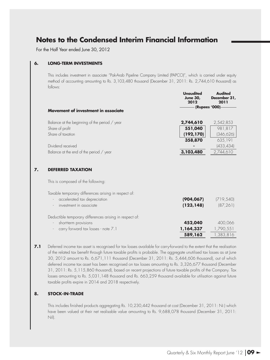For the Half Year ended June 30, 2012

### **6. LONG-TERM INVESTMENTS**

This includes investment in associate "Pak-Arab Pipeline Company Limited (PAPCO)", which is carried under equity method of accounting amounting to Rs. 3,103,480 thousand (December 31, 2011: Rs. 2,744,610 thousand) as follows:

|    |                                                                | <b>Unaudited</b><br><b>June 30,</b><br>2012 | <b>Audited</b><br>December 31,<br>2011 |
|----|----------------------------------------------------------------|---------------------------------------------|----------------------------------------|
|    | Movement of investment in associate                            |                                             | (Rupees '000)                          |
|    | Balance at the beginning of the period $\frac{\ }{\ }$ year    | 2,744,610                                   | 2,542,853                              |
|    | Share of profit                                                | 551,040                                     | 981,817                                |
|    | Share of taxation                                              | (192, 170)                                  | (346, 626)                             |
|    |                                                                | 358,870                                     | 635,191                                |
|    | Dividend received                                              |                                             | (433, 434)                             |
|    | Balance at the end of the period / year                        | 3,103,480                                   | 2,744,610                              |
| 7. | <b>DEFERRED TAXATION</b><br>This is composed of the following: |                                             |                                        |
|    | Taxable temporary differences arising in respect of:           |                                             |                                        |
|    | accelerated tax depreciation                                   | (904, 067)                                  | (719, 540)                             |
|    | investment in associate                                        | (123, 148)                                  | (87, 261)                              |
|    |                                                                |                                             |                                        |
|    | Deductible temporary differences arising in respect of:        |                                             |                                        |
|    | short-term provisions                                          | 452,040                                     | 400,066                                |
|    | carry forward tax losses - note 7.1                            | 1,164,337                                   | 1,790,551                              |
|    |                                                                | 589,162                                     | 1,383,816                              |

**7.1** Deferred income tax asset is recognised for tax losses available for carry-forward to the extent that the realisation of the related tax benefit through future taxable profits is probable. The aggregate unutilised tax losses as at June 30, 2012 amount to Rs. 6,671,111 thousand (December 31, 2011: Rs. 5,444,606 thousand), out of which deferred income tax asset has been recognised on tax losses amounting to Rs. 3,326,677 thousand (December 31, 2011: Rs. 5,115,860 thousand), based on recent projections of future taxable profits of the Company. Tax losses amounting to Rs. 5,031,148 thousand and Rs. 663,259 thousand available for utilisation against future taxable profits expire in 2014 and 2018 respectively.

### **8. STOCK-IN-TRADE**

This includes finished products aggregating Rs. 10,230,442 thousand at cost (December 31, 2011: Ni ) which have been valued at their net realisable value amounting to Rs. 9,688,078 thousand (December 31, 2011: Nil).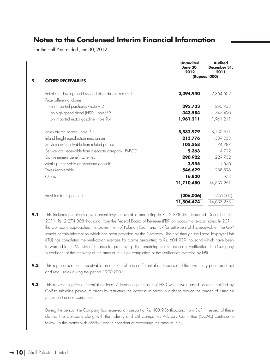For the Half Year ended June 30, 2012

|                                                        | <b>Unaudited</b><br><b>June 30,</b><br>2012 | <b>Audited</b><br>December 31,<br>2011 |
|--------------------------------------------------------|---------------------------------------------|----------------------------------------|
|                                                        |                                             | (Rupees '000)                          |
|                                                        |                                             |                                        |
| Petroleum development levy and other duties - note 9.1 | 2,394,940                                   | 2,364,502                              |
| Price differential claims                              |                                             |                                        |
| - on imported purchases - note 9.2                     | 295,733                                     | 295,733                                |
| - on high speed diesel (HSD) - note 9.3                | 343,584                                     | 747,490                                |
| - on imported motor gasoline - note 9.4                | 1,961,211                                   | 1,961,211                              |
| Sales tax refundable - note 9.5                        | 5,532,979                                   | 8,530,611                              |
| Inland freight equalisation mechanism                  | 213,776                                     | 339,063                                |
| Service cost receivable from related parties           | 105,568                                     | 74,787                                 |
| Service cost receivable from associate company - PAPCO | 5,363                                       | 4.712                                  |
| Staff retirement benefit schemes                       | 290,922                                     | 229,702                                |
| Mark-up receivable on short-term deposits              | 2,955                                       | 1,576                                  |
| Taxes recoverable                                      | 546,629                                     | 288.896                                |
| Others                                                 | 16,820                                      | 978                                    |
|                                                        | 11,710,480                                  | 14,839,261                             |
| Provision for impairment                               | (206, 006)                                  | (206,006)                              |
|                                                        | 11,504,474                                  | $\overline{14,}633,255$                |
|                                                        | <b>OTHER RECEIVABLES</b>                    |                                        |

- **9.1** This includes petroleum development levy recoverable amounting to Rs. 2,278,381 thousand (December 31, 2011: Rs. 2,274,308 thousand) from the Federal Board of Revenue (FBR) on account of export sales. In 2011, the Company approached the Government of Pakistan (GoP) and FBR for settlement of this receivable. The GoP sought certain information which has been provided by the Company. The FBR through the Large Taxpayer Unit (LTU) has completed the verification exercise for claims amounting to Rs. 604,939 thousand which have been forwarded to the Ministry of Finance for processing. The remaining claims are under verification. The Company is confident of the recovery of the amount in full on completion of the verification exercise by FBR.
- **9.2** This represents amount receivable on account of price differential on imports and the ex-refinery price on direct and retail sales during the period 1990-2001.
- **9.3** This represents price differential on local / imported purchases of HSD which was based on rates notified by GoP to subsidise petroleum prices by restricting the increase in prices in order to reduce the burden of rising oil prices on the end consumers.

During the period, the Company has received an amount of Rs. 403,906 thousand from GoP in respect of these claims. The Company along with the industry and Oil Companies Advisory Committee (OCAC) continue to follow up this matter with MoPNR and is confident of recovering the amount in full.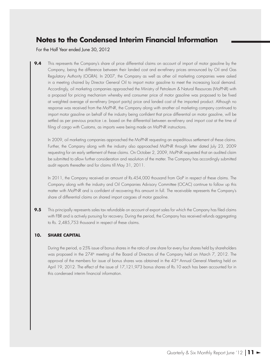For the Half Year ended June 30, 2012

**9.4** This represents the Company's share of price differential claims on account of import of motor gasoline by the Company, being the difference between their landed cost and ex-refinery prices announced by Oil and Gas Regulatory Authority (OGRA). In 2007, the Company as well as other oil marketing companies were asked in a meeting chaired by Director General Oil to import motor gasoline to meet the increasing local demand. Accordingly, oil marketing companies approached the Ministry of Petroleum & Natural Resources (MoPNR) with a proposal for pricing mechanism whereby end consumer price of motor gasoline was proposed to be fixed at weighted average of ex-refinery (import parity) price and landed cost of the imported product. Although no response was received from the MoPNR, the Company along with another oil marketing company continued to import motor gasoline on behalf of the industry being confident that price differential on motor gasoline, will be settled as per previous practice i.e. based on the differential between ex-refinery and import cost at the time of filing of cargo with Customs, as imports were being made on MoPNR instructions.

In 2009, oil marketing companies approached the MoPNR requesting an expeditious settlement of these claims. Further, the Company along with the industry also approached MoPNR through letter dated July 23, 2009 requesting for an early settlement of these claims. On October 2, 2009, MoPNR requested that an audited claim be submitted to allow further consideration and resolution of the matter. The Company has accordingly submitted audit reports thereafter and for claims till May 31, 2011.

In 2011, the Company received an amount of Rs.454,000 thousand from GoP in respect of these claims. The Company along with the industry and Oil Companies Advisory Committee (OCAC) continue to follow up this matter with MoPNR and is confident of recovering this amount in full. The receivable represents the Company's share of differential claims on shared import cargoes of motor gasoline.

**9.5** This principally represents sales tax refundable on account of export sales for which the Company has filed claims with FBR and is actively pursuing for recovery. During the period, the Company has received refunds aggregating to Rs. 2,485,753 thousand in respect of these claims.

### **10. SHARE CAPITAL**

During the period, a 25% issue of bonus shares in the ratio of one share for every four shares held by shareholders was proposed in the 274<sup>th</sup> meeting of the Board of Directors of the Company held on March 7, 2012. The approval of the members for issue of bonus shares was obtained in the 43<sup>rd</sup> Annual General Meeting held on April 19, 2012. The effect of the issue of 17,121,973 bonus shares of Rs.10 each has been accounted for in this condensed interim financial information.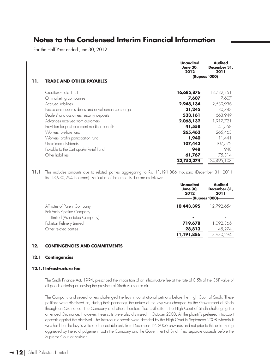For the Half Year ended June 30, 2012

|     |                                                     | <b>Unaudited</b><br><b>June 30,</b><br>2012 | <b>Audited</b><br>December 31,<br>2011<br>(Rupees '000) |
|-----|-----------------------------------------------------|---------------------------------------------|---------------------------------------------------------|
| 11. | <b>TRADE AND OTHER PAYABLES</b>                     |                                             |                                                         |
|     | Creditors - note 11.1                               | 16,685,876                                  | 18,782,851                                              |
|     | Oil marketing companies                             | 7,607                                       | 7,607                                                   |
|     | Accrued liabilities                                 | 2,948,134                                   | 2,539,936                                               |
|     | Excise and customs duties and development surcharge | 31,245                                      | 80,743                                                  |
|     | Dealers' and customers' security deposits           | 533,161                                     | 663,949                                                 |
|     | Advances received from customers                    | 2,068,132                                   | 1,917,721                                               |
|     | Provision for post retirement medical benefits      | 41,558                                      | 41,558                                                  |
|     | Workers' welfare fund                               | 265,463                                     | 265,463                                                 |
|     | Workers' profits participation fund                 | 1,940                                       | 11,441                                                  |
|     | Unclaimed dividends                                 | 107,443                                     | 107,572                                                 |
|     | Payable to the Earthquake Relief Fund               | 948                                         | 948                                                     |
|     | Other liabilities                                   | 61,767                                      | 75,314                                                  |
|     |                                                     | 22,753,274                                  | 24,495,103                                              |

**11.1** This includes amounts due to related parties aggregating to Rs. 11,191,886 thousand (December 31, 2011: Rs. 13,930,294 thousand). Particulars of the amounts due are as follows:

|                              | Unaudited<br><b>June 30,</b><br>2012 | Audited<br>December 31,<br>2011<br>(Rupees '000) |
|------------------------------|--------------------------------------|--------------------------------------------------|
| Affiliates of Parent Company | 10,443,395                           | 12.792.654                                       |
| Pak-Arab Pipeline Company    |                                      |                                                  |
| Limited (Associated Company) | ۰                                    |                                                  |
| Pakistan Refinery Limited    | 719,678                              | 1,092,366                                        |
| Other related parties        | 28,813                               | 45.274                                           |
|                              | 11,191,886                           | 13,930,294                                       |
|                              |                                      |                                                  |

### **12. CONTINGENCIES AND COMMITMENTS**

#### **12.1 Contingencies**

### **12.1.1Infrastructure fee**

The Sindh Finance Act, 1994, prescribed the imposition of an infrastructure fee at the rate of 0.5% of the C&F value of all goods entering or leaving the province of Sindh via sea or air.

The Company and several others challenged the levy in constitutional petitions before the High Court of Sindh. These petitions were dismissed as, during their pendency, the nature of the levy was changed by the Government of Sindh through an Ordinance. The Company and others therefore filed civil suits in the High Court of Sindh challenging the amended Ordinance. However, these suits were also dismissed in October 2003. All the plaintiffs preferred intra-court appeals against the dismissal. The intra-court appeals were decided by the High Court in September 2008 wherein it was held that the levy is valid and collectable only from December 12, 2006 onwards and not prior to this date. Being aggrieved by the said judgement, both the Company and the Government of Sindh filed separate appeals before the Supreme Court of Pakistan.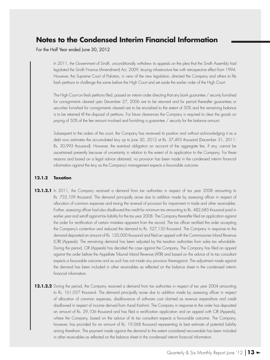For the Half Year ended June 30, 2012

In 2011, the Government of Sindh, unconditionally withdrew its appeals on the plea that the Sindh Assembly had legislated the Sindh Finance (Amendment) Act, 2009, levying infrastructure fee with retrospective effect from 1994. However, the Supreme Court of Pakistan, in view of the new legislation, directed the Company and others to file fresh petitions to challenge the same before the High Court and set aside the earlier order of the High Court.

The High Court on fresh petitions filed, passed an interim order directing that any bank guarantee / security furnished for consignments cleared upto December 27, 2006 are to be returned and for period thereafter guarantees or securities furnished for consignments cleared are to be encashed to the extent of 50% and the remaining balance is to be retained till the disposal of petitions. For future clearances the Company is required to clear the goods on paying of 50% of the fee amount involved and furnishing a guarantee / security for the balance amount.

Subsequent to the orders of the court, the Company has reviewed its position and without acknowledging it as a debt now estimates the accumulated levy up to June 30, 2012 at Rs. 37,493 thousand (December 31, 2011: Rs. 30,993 thousand). However, the eventual obligation on account of the aggregate fee, if any, cannot be ascertained presently because of uncertainty in relation to the extent of its application to the Company. For these reasons and based on a legal advice obtained, no provision has been made in the condensed interim financial information against the levy as the Company's management expects a favourable outcome.

### **12.1.2 Taxation**

- **12.1.2.1** In 2011, the Company received a demand from tax authorities in respect of tax year 2008 amounting to Rs. 735,109 thousand. The demand principally arose due to addition made by assessing officer in respect of allocation of common expenses and taxing the reversal of provision for impairment in trade and other receivables. Further, assessing officer had also disallowed the credit for minimum tax amounting to Rs. 482,685 thousand paid in earlier year and set-off against tax liability for the tax year 2008. The Company thereafter filed an application against the order for rectification of certain mistakes apparent from the record. The tax officer rectified the order accepting the Company's contention and reduced the demand to Rs. 527,150 thousand. The Company in response to the demand deposited an amount of Rs. 120,000 thousand and filed an appeal with the Commissioner Inland Revenue (CIR) (Appeals). The remaining demand has been adjusted by the taxation authorities from sales tax refundable. During the period, CIR (Appeals) has decided the case against the Company. The Company has filed an appeal against the order before the Appellate Tribunal Inland Revenue (ATIR) and based on the advice of its tax consultant expects a favourable outcome and as such has not made any provision thereagainst. The adjustment made against the demand has been included in other receivables as reflected on the balance sheet in the condensed interim financial information.
- **12.1.2.2** During the period, the Company received a demand from tax authorities in respect of tax year 2004 amounting to Rs. 161,057 thousand. The demand principally arose due to addition made by assessing officer in respect of allocation of common expenses, disallowance of software cost claimed as revenue expenditure and credit disallowed in respect of income derived from Azad Kashmir. The Company in response to the order has deposited an amount of Rs. 29,106 thousand and has filed a rectification application and an appeal with CIR (Appeals), where the Company, based on the advice of its tax consultant expects a favourable outcome. The Company, however, has provided for an amount of Rs. 19,068 thousand representing its best estimate of potential liability arising therefrom. The payment made against the demand to the extent considered recoverable has been included in other receivables as reflected on the balance sheet in the condensed interim financial information.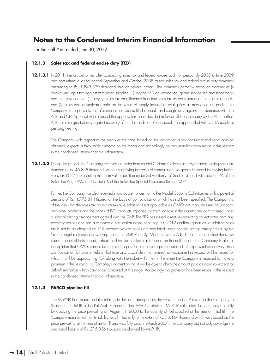For the Half Year ended June 30, 2012

#### **12.1.3 Sales tax and federal excise duty (FED)**

**12.1.3.1** In 2011, the tax authorities after conducting sales tax and federal excise audit for period July 2008 to June 2009 and post refund audit for period September and October 2008 raised sales tax and federal excise duty demands amounting to Rs. 1,843,529 thousand through several orders. The demands primarily arose on account of (i) disallowing input tax against zero rated supplies; (ii) levying FED on license fee, group service fee and trademarks and manifestation fee; (iii) levying sales tax on difference in output sales tax as per return and financial statements; and (iv) sales tax on lubricants paid on the value of supply instead of retail price as mentioned on packs. The Company in response to the aforementioned orders filed appeals and sought stay against the demands with the ATIR and CIR (Appeals) where one of the appeals has been decided in favour of the Company by the ATIR. Further, ATIR has also granted stay against recovery of the demands for other appeal. The appeal filed with CIR (Appeals) is pending hearing.

The Company with respect to the merits of the case based on the advice of its tax consultant and legal opinion obtained, expects a favourable outcome on the matter and accordingly no provision has been made in this respect in the condensed interim financial information.

**12.1.3.2** During the period, the Company received an order from Model Customs Collectorate, Hyderabad raising sales tax demand of Rs. 46,838 thousand, without specifying the basis of computation, on goods imported by levying further sales tax @ 2% representing minimum value addition under Sub-section 5 of Section 3 read with Section 7A of the Sales Tax Act, 1990 and Chapter X of the Sales Tax Special Procedure Rules, 2007.

Further, the Company has also received show cause notices from other Model Customs Collectorates with a potential demand of Rs. 4,775,814 thousand, the basis of computation of which has not been specified. The Company is of the view that the sales tax on minimum value addition is not applicable as OMCs are manufacturers of lubricants and other products and the prices of POL products imported by them for sale in the country are administered under a special pricing arrangement agreed with the GoP. The FBR has issued directives restricting collectorates from any recovery actions and has also issued a notification dated February 10, 2012 confirming that value addition sales tax is not to be charged on POL products whose prices are regulated under special pricing arrangement by the GoP or regulatory authority working under the GoP. Recently, Model Customs Adjudication has quashed the show cause notices of Faisalabad, Lahore and Multan Collectorates based on the notification. The Company is also of the opinion that OMCs cannot be required to pay the tax on unregulated products / exports retrospectively since clarification of FBR was in field at that time and is confident that revised notification in this respect will be issued for which it will be approaching FBR along with the industry. Further, in the event the Company is required to make a payment in this respect, it is Company's contention that it will be able to claim the amount paid as input tax except for default surcharge which cannot be computed at this stage. Accordingly, no provision has been made in this respect in the condensed interim financial information.

### **12.1.4 PARCO pipeline fill**

The MoPNR had made a claim relating to the loan arranged by the Government of Pakistan to the Company to finance the initial fill of the Pak-Arab Refinery Limited (PARCO) pipeline. MoPNR calculated the Company's liability by applying the price prevailing on August 11, 2000 to the quantity of fuel supplied at the time of initial fill. The Company maintained that its liability was limited only to the extent of Rs. 78,164 thousand which was based on the price prevailing at the time of initial fill and was fully paid in March 2007. The Company did not acknowledge the additional liability of Rs. 215,836 thousand as claimed by MoPNR.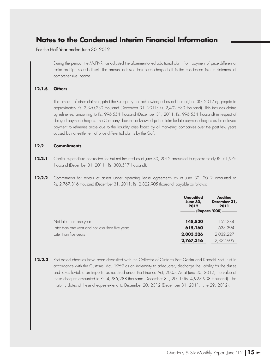For the Half Year ended June 30, 2012

During the period, the MoPNR has adjusted the aforementioned additional claim from payment of price differential claim on high speed diesel. The amount adjusted has been charged off in the condensed interim statement of comprehensive income.

### **12.1.5 Others**

The amount of other claims against the Company not acknowledged as debt as at June 30, 2012 aggregate to approximately Rs. 2,370,239 thousand (December 31, 2011: Rs. 2,402,630 thousand). This includes claims by refineries, amounting to Rs. 996,554 thousand (December 31, 2011: Rs. 996,554 thousand) in respect of delayed payment charges. The Company does not acknowledge the claim for late payment charges as the delayed payment to refineries arose due to the liquidity crisis faced by oil marketing companies over the past few years caused by non-settlement of price differential claims by the GoP.

### **12.2 Commitments**

- **12.2.1** Capital expenditure contracted for but not incurred as at June 30, 2012 amounted to approximately Rs. 61,976 thousand (December 31, 2011: Rs. 308,517 thousand).
- **12.2.2** Commitments for rentals of assets under operating lease agreements as at June 30, 2012 amounted to Rs. 2,767,316 thousand (December 31, 2011: Rs. 2,822,905 thousand) payable as follows:

|                                                   | <b>Unaudited</b><br><b>June 30,</b><br>2012 | <b>Audited</b><br>December 31,<br>2011<br>(Rupees '000) |
|---------------------------------------------------|---------------------------------------------|---------------------------------------------------------|
| Not later than one year                           | 148,830                                     | 152,284                                                 |
| Later than one year and not later than five years | 615,160                                     | 638,394                                                 |
| Later than five years                             | 2,003,326                                   | 2,032,227                                               |
|                                                   | 2,767,316                                   | 2,822,905                                               |

**12.2.3** Post-dated cheques have been deposited with the Collector of Customs Port Qasim and Karachi Port Trust in accordance with the Customs' Act, 1969 as an indemnity to adequately discharge the liability for the duties and taxes leviable on imports, as required under the Finance Act, 2005. As at June 30, 2012, the value of these cheques amounted to Rs. 4,985,288 thousand (December 31, 2011: Rs. 4,927,938 thousand). The maturity dates of these cheques extend to December 20, 2012 (December 31, 2011: June 29, 2012).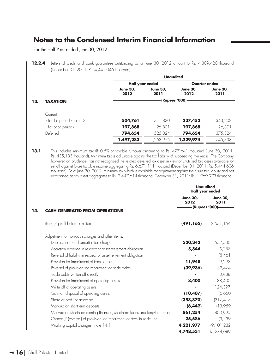For the Half Year ended June 30, 2012

**12.2.4** Letters of credit and bank guarantees outstanding as at June 30, 2012 amount to Rs. 4,309,420 thousand (December 31, 2011: Rs. 4,441,046 thousand).

|     |                              | <b>Unaudited</b>        |                         |                         |                         |
|-----|------------------------------|-------------------------|-------------------------|-------------------------|-------------------------|
|     |                              | Half year ended         |                         | <b>Quarter ended</b>    |                         |
|     |                              | <b>June 30,</b><br>2012 | <b>June 30,</b><br>2011 | <b>June 30,</b><br>2012 | <b>June 30,</b><br>2011 |
| 13. | <b>TAXATION</b>              | (Rupees '000)           |                         |                         |                         |
|     | Current                      |                         |                         |                         |                         |
|     | - for the period - note 13.1 | 504,761                 | 711,830                 | 237,452                 | 343,208                 |
|     | - for prior periods          | 197,868                 | 26,801                  | 197,868                 | 26,801                  |
|     | Deferred                     | 794,654                 | 525,324                 | 794,654                 | 375,324                 |
|     |                              | 1,497,283               | 1,263,955               | 1,229,974               | 745,333                 |

13.1 This includes minimum tax @ 0.5% of taxable turnover amounting to Rs. 477,641 thousand (June 30, 2011: Rs. 435,133 thousand). Minimum tax is adjustable against the tax liability of succeeding five years. The Company however, on prudence, has not recognised the related deferred tax asset in view of unutilised tax losses available for set off against future taxable income aggregating Rs. 6,671,111 thousand (December 31, 2011: Rs. 5,444,606 thousand). As at June 30, 2012, minimum tax which is available for adjustment against the future tax liability and not recognised as tax asset aggregates to Rs. 2,447,614 thousand (December 31, 2011: Rs. 1,969,973 thousand).

|     |                                                                              | <b>Unaudited</b><br>Half year ended |                         |
|-----|------------------------------------------------------------------------------|-------------------------------------|-------------------------|
|     |                                                                              | <b>June 30,</b><br>2012             | <b>June 30,</b><br>2011 |
| 14. | <b>CASH GENERATED FROM OPERATIONS</b>                                        | (Rupees '000)                       |                         |
|     | (Loss) / profit before taxation                                              | (491, 165)                          | 2,671,154               |
|     | Adjustment for non-cash charges and other items:                             |                                     |                         |
|     | Depreciation and amortisation charge                                         | 520,342                             | 552,530                 |
|     | Accretion expense in respect of asset retirement obligation                  | 5,844                               | 5,287                   |
|     | Reversal of liability in respect of asset retirement obligation              |                                     | (8,46]                  |
|     | Provision for impairment of trade debts                                      | 11,948                              | 9,293                   |
|     | Reversal of provision for impairment of trade debts                          | (39,936)                            | (32, 474)               |
|     | Trade debts written off directly                                             |                                     | 3,988                   |
|     | Provision for impairment of operating assets                                 | 8,400                               | 38,400                  |
|     | Write off of operating assets                                                |                                     | 124,397                 |
|     | Gain on disposal of operating assets                                         | (10, 407)                           | (6,650)                 |
|     | Share of profit of associate                                                 | (358, 870)                          | (317, 418)              |
|     | Mark-up on short-term deposits                                               | (6, 442)                            | (13,959)                |
|     | Mark-up on short-term running finances, short-term loans and long-term loans | 861,254                             | 803,995                 |
|     | Charge / (reversa) of provision for impairment of stock-in-trade - net       | 25,586                              | (3, 539)                |
|     | Working capital changes - note 14.1                                          | 4,221,977                           | (9, 101, 232)           |
|     |                                                                              | 4,748,531                           | (5, 274, 689)           |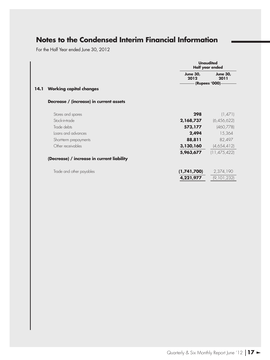For the Half Year ended June 30, 2012

|      |                                            |                         | <b>Unaudited</b><br>Half year ended |  |
|------|--------------------------------------------|-------------------------|-------------------------------------|--|
|      |                                            | <b>June 30,</b><br>2012 | <b>June 30,</b><br>2011             |  |
| 14.1 | <b>Working capital changes</b>             |                         | (Rupees '000)                       |  |
|      |                                            |                         |                                     |  |
|      | Decrease / (increase) in current assets    |                         |                                     |  |
|      | Stores and spares                          | 298                     | (1,471)                             |  |
|      | Stock-in-trade                             | 2,168,737               | (6,456,622)                         |  |
|      | Trade debts                                | 573,177                 | (460,778)                           |  |
|      | Loans and advances                         | 2,494                   | 15,364                              |  |
|      | Short-term prepayments                     | 88,811                  | 82,497                              |  |
|      | Other receivables                          | 3,130,160               | (4,654,412)                         |  |
|      |                                            | 5,963,677               | (11, 475, 422)                      |  |
|      | (Decrease) / increase in current liability |                         |                                     |  |
|      | Trade and other payables                   | (1,741,700)             | 2,374,190                           |  |
|      |                                            | 4,221,977               | (9, 101, 232)                       |  |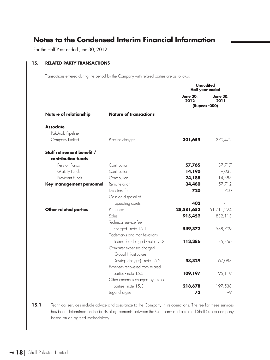For the Half Year ended June 30, 2012

### **15. RELATED PARTY TRANSACTIONS**

Transactions entered during the period by the Company with related parties are as follows:

|                               |                                   | <b>Unaudited</b><br><b>Half year ended</b> |                         |
|-------------------------------|-----------------------------------|--------------------------------------------|-------------------------|
|                               |                                   | <b>June 30,</b><br>2012                    | <b>June 30,</b><br>2011 |
|                               |                                   |                                            | (Rupees '000)           |
| <b>Nature of relationship</b> | <b>Nature of transactions</b>     |                                            |                         |
| <b>Associate</b>              |                                   |                                            |                         |
| Pak-Arab Pipeline             |                                   |                                            |                         |
| Company Limited               | Pipeline charges                  | 301,655                                    | 379,472                 |
| Staff retirement benefit /    |                                   |                                            |                         |
| contribution funds            |                                   |                                            |                         |
| Pension Funds                 | Contribution                      | 57,765                                     | 37,717                  |
| Gratuity Funds                | Contribution                      | 14,190                                     | 9,033                   |
| Provident Funds               | Contribution                      | 24,188                                     | 14,583                  |
| Key management personnel      | Remuneration                      | 34,480                                     | 57,712                  |
|                               | Directors' fee                    | 720                                        | 760                     |
|                               | Gain on disposal of               |                                            |                         |
|                               | operating assets                  | 402                                        |                         |
| <b>Other related parties</b>  | Purchases                         | 28,581,652                                 | 51,711,224              |
|                               | Sales                             | 915,452                                    | 832,113                 |
|                               | Technical service fee             |                                            |                         |
|                               | charged - note 15.1               | 549,372                                    | 588,799                 |
|                               | Trademarks and manifestations     |                                            |                         |
|                               | license fee charged - note 15.2   | 113,386                                    | 85,856                  |
|                               | Computer expenses charged         |                                            |                         |
|                               | (Global Infrastructure            |                                            |                         |
|                               | Desktop charges) - note 15.2      | 58,329                                     | 67,087                  |
|                               | Expenses recovered from related   |                                            |                         |
|                               | parties - note 15.3               | 109,197                                    | 95,119                  |
|                               | Other expenses charged by related |                                            |                         |
|                               | parties - note 15.3               | 218,678                                    | 197,538                 |
|                               | Legal charges                     | 72                                         | 99                      |

**15.1** Technical services include advice and assistance to the Company in its operations. The fee for these services has been determined on the basis of agreements between the Company and a related Shell Group company based on an agreed methodology.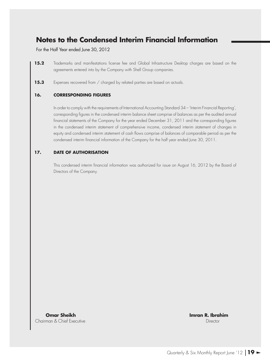For the Half Year ended June 30, 2012

- **15.2** Trademarks and manifestations license fee and Global Infrastructure Desktop charges are based on the agreements entered into by the Company with Shell Group companies.
- **15.3** Expenses recovered from / charged by related parties are based on actuals.

### **16. CORRESPONDING FIGURES**

In order to comply with the requirements of International Accounting Standard 34 – 'Interim Financial Reporting', corresponding figures in the condensed interim balance sheet comprise of balances as per the audited annual financial statements of the Company for the year ended December 31, 2011 and the corresponding figures in the condensed interim statement of comprehensive income, condensed interim statement of changes in equity and condensed interim statement of cash flows comprise of balances of comparable period as per the condensed interim financial information of the Company for the half year ended June 30, 2011.

### **17. DATE OF AUTHORISATION**

This condensed interim financial information was authorized for issue on August 16, 2012 by the Board of Directors of the Company.

**Omar Sheikh** Chairman & Chief Executive **Imran R. Ibrahim** Director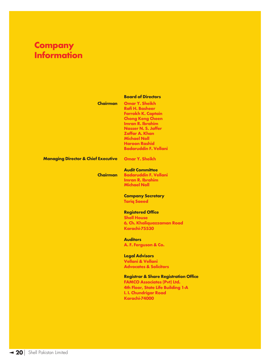## **Company Information**

#### **Board of Directors**

**Chairman**

**Omar Y. Sheikh Rafi H. Basheer Farrokh K. Captain Chong Keng Cheen Imran R. Ibrahim Nasser N. S. Jaffer Zaffar A. Khan Michael Noll Haroon Rashid Badaruddin F. Vellani**

**Omar Y. Sheikh Managing Director & Chief Executive**

**Audit Committee**

**Badaruddin F. Vellani Imran R. Ibrahim Michael Noll Chairman**

> **Company Secretary Tariq Saeed**

### **Registered Office**

**Shell House 6, Ch. Khaliquazzaman Road Karachi-75530**

**Auditors A. F. Ferguson & Co.**

**Legal Advisors Vellani & Vellani Advocates & Solicitors**

**Registrar & Share Registration Office FAMCO Associates (Pvt) Ltd. 4th Floor, State Life Building 1-A I. I. Chundrigar Road Karachi-74000**